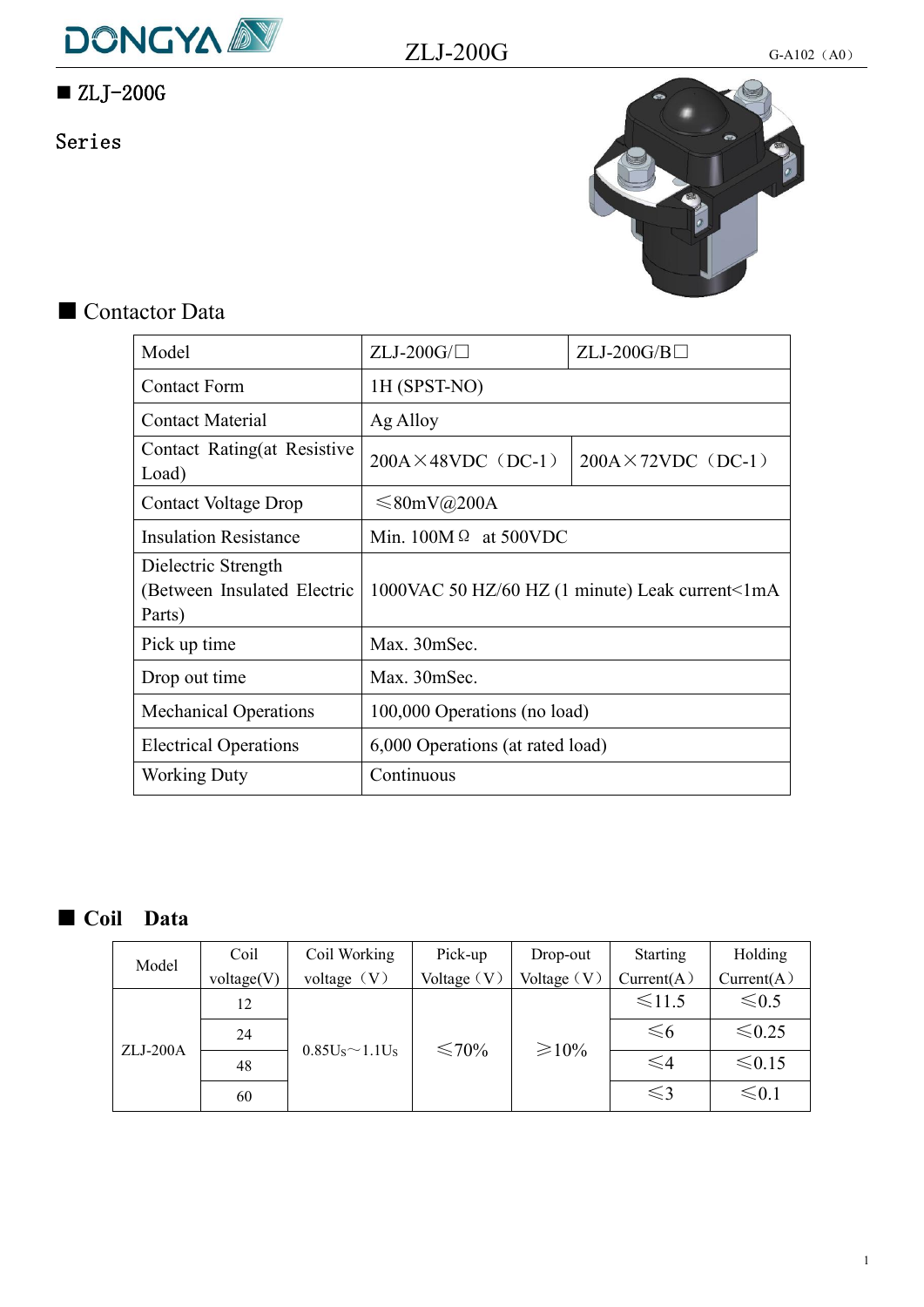

# $\blacksquare$  ZLJ-200G

Series



# ■ Contactor Data

| Model                                                        | $ZLJ-200G/\Box$                  | $ZLJ-200G/B$                                    |
|--------------------------------------------------------------|----------------------------------|-------------------------------------------------|
| <b>Contact Form</b>                                          | 1H (SPST-NO)                     |                                                 |
| <b>Contact Material</b>                                      | Ag Alloy                         |                                                 |
| Contact Rating(at Resistive<br>Load)                         | $200A \times 48VDC$ (DC-1)       | $200A \times 72VDC$ (DC-1)                      |
| <b>Contact Voltage Drop</b>                                  | $\leq 80$ mV@200A                |                                                 |
| <b>Insulation Resistance</b>                                 | Min. $100M \Omega$ at 500VDC     |                                                 |
| Dielectric Strength<br>(Between Insulated Electric<br>Parts) |                                  | 1000VAC 50 HZ/60 HZ (1 minute) Leak current<1mA |
| Pick up time                                                 | Max. 30mSec.                     |                                                 |
| Drop out time                                                | Max. 30mSec.                     |                                                 |
| <b>Mechanical Operations</b>                                 | 100,000 Operations (no load)     |                                                 |
| <b>Electrical Operations</b>                                 | 6,000 Operations (at rated load) |                                                 |
| <b>Working Duty</b>                                          | Continuous                       |                                                 |
|                                                              |                                  |                                                 |

## ■ **Coil Data**

| Model      | Coil       | Coil Working          | Pick-up       | Drop-out      | Starting      | Holding     |
|------------|------------|-----------------------|---------------|---------------|---------------|-------------|
|            | voltage(V) | voltage $(V)$         | Voltage $(V)$ | Voltage $(V)$ | Current(A)    | Current(A)  |
|            | 12         |                       |               |               | $\leq 11.5$   | $\leq 0.5$  |
|            | 24         |                       |               |               | $\leq 6$      | $≤0.25$     |
| $ZLJ-200A$ | 48         | $0.85U_S \sim 1.1U_S$ | ≤70%          | $\geq 10\%$   | $\leqslant$ 4 | $\leq 0.15$ |
|            | 60         |                       |               |               | $\leqslant$ 3 | $\leq 0.1$  |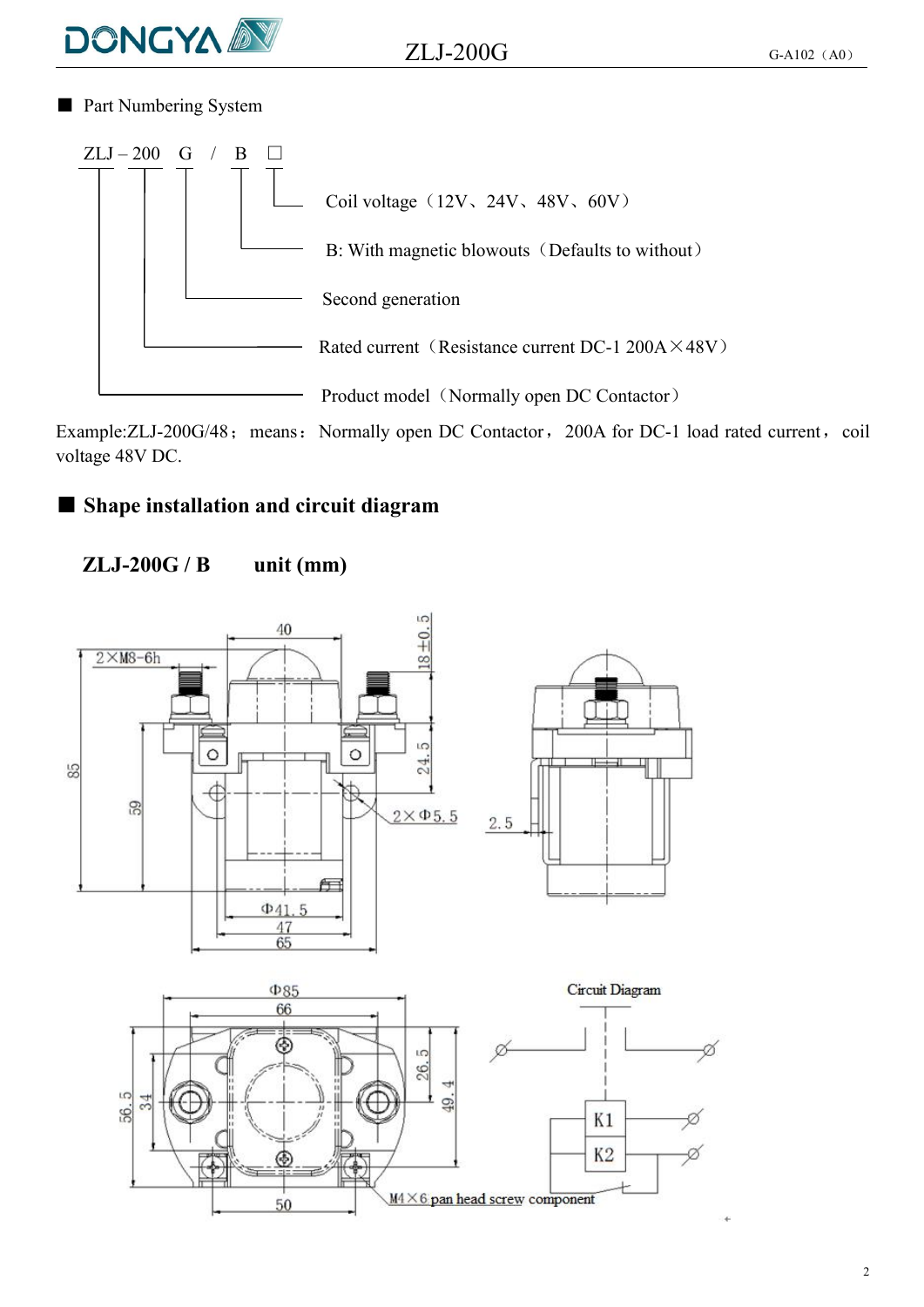

 $ZLJ-200G$  G-A102 (A0)

■ Part Numbering System



Example:ZLJ-200G/48; means: Normally open DC Contactor, 200A for DC-1 load rated current, coil voltage 48V DC.

### ■ **Shape installation and circuit diagram**